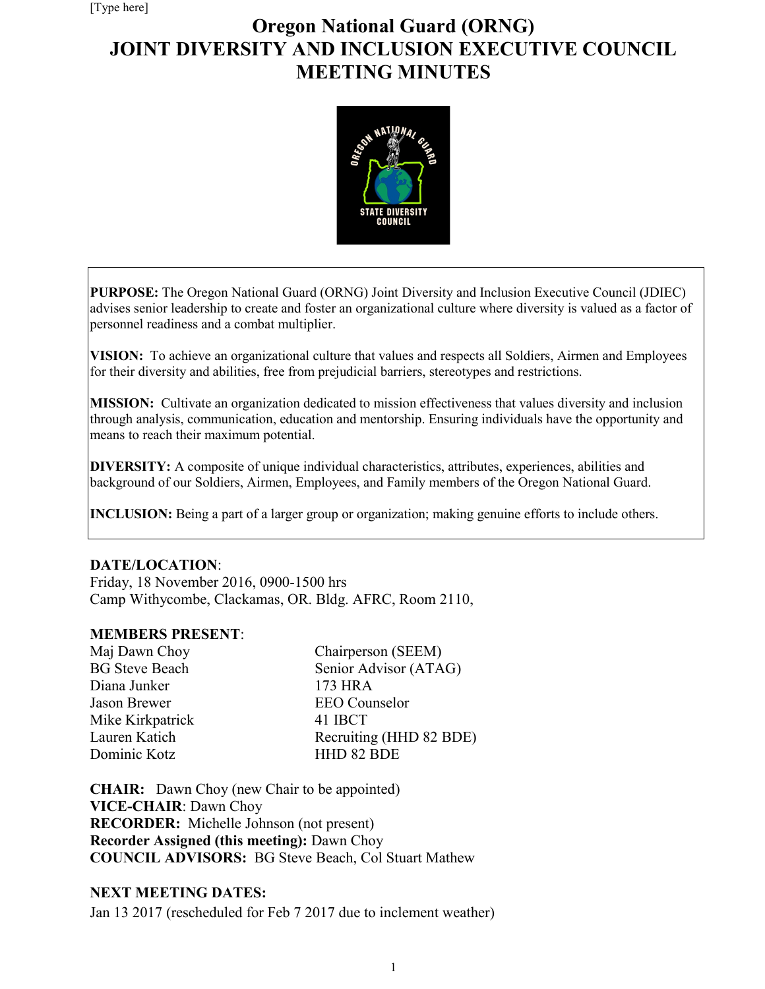# **Oregon National Guard (ORNG) JOINT DIVERSITY AND INCLUSION EXECUTIVE COUNCIL MEETING MINUTES**



**PURPOSE:** The Oregon National Guard (ORNG) Joint Diversity and Inclusion Executive Council (JDIEC) advises senior leadership to create and foster an organizational culture where diversity is valued as a factor of personnel readiness and a combat multiplier.

**VISION:** To achieve an organizational culture that values and respects all Soldiers, Airmen and Employees for their diversity and abilities, free from prejudicial barriers, stereotypes and restrictions.

**MISSION:** Cultivate an organization dedicated to mission effectiveness that values diversity and inclusion through analysis, communication, education and mentorship. Ensuring individuals have the opportunity and means to reach their maximum potential.

**DIVERSITY:** A composite of unique individual characteristics, attributes, experiences, abilities and background of our Soldiers, Airmen, Employees, and Family members of the Oregon National Guard.

**INCLUSION:** Being a part of a larger group or organization; making genuine efforts to include others.

#### **DATE/LOCATION**:

Friday, 18 November 2016, 0900-1500 hrs Camp Withycombe, Clackamas, OR. Bldg. AFRC, Room 2110,

#### **MEMBERS PRESENT**:

| Maj Dawn Choy         | Chairperson (SEEM)      |
|-----------------------|-------------------------|
| <b>BG</b> Steve Beach | Senior Advisor (ATAG)   |
| Diana Junker          | 173 HRA                 |
| Jason Brewer          | <b>EEO</b> Counselor    |
| Mike Kirkpatrick      | 41 IBCT                 |
| Lauren Katich         | Recruiting (HHD 82 BDE) |
| Dominic Kotz          | HHD 82 BDE              |

**CHAIR:** Dawn Choy (new Chair to be appointed) **VICE-CHAIR**: Dawn Choy **RECORDER:** Michelle Johnson (not present) **Recorder Assigned (this meeting):** Dawn Choy **COUNCIL ADVISORS:** BG Steve Beach, Col Stuart Mathew

#### **NEXT MEETING DATES:**

Jan 13 2017 (rescheduled for Feb 7 2017 due to inclement weather)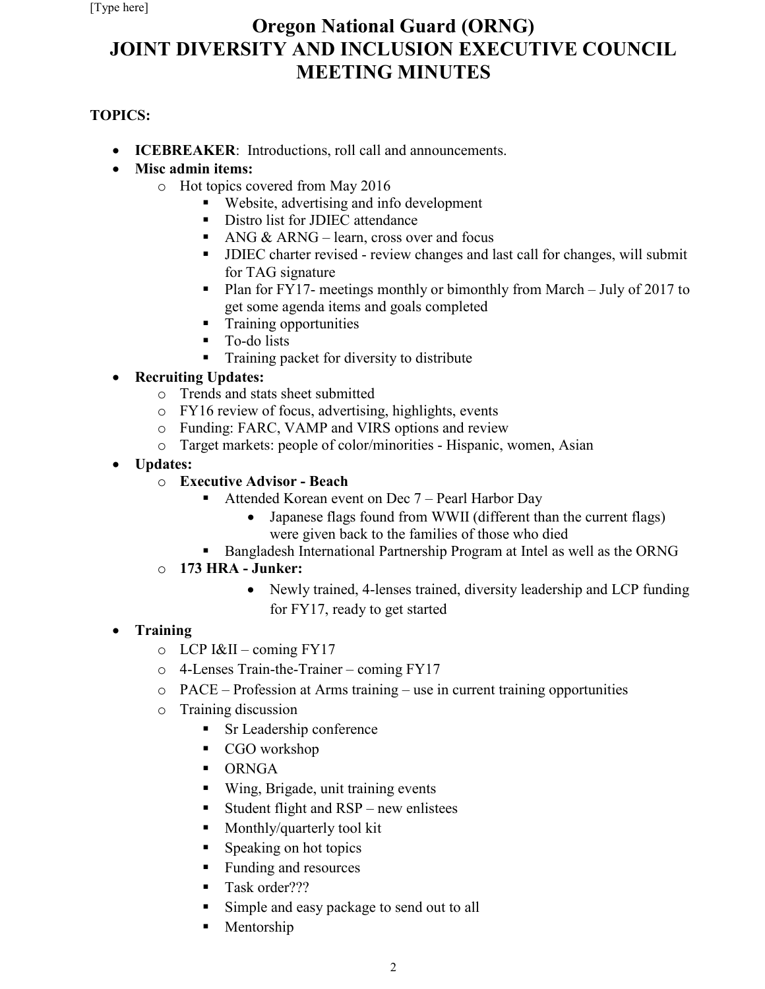# **Oregon National Guard (ORNG) JOINT DIVERSITY AND INCLUSION EXECUTIVE COUNCIL MEETING MINUTES**

## **TOPICS:**

- **ICEBREAKER**:Introductions, roll call and announcements.
- **Misc admin items:** 
	- o Hot topics covered from May 2016
		- Website, advertising and info development
		- Distro list for JDIEC attendance
		- ANG  $&$  ARNG learn, cross over and focus
		- JDIEC charter revised review changes and last call for changes, will submit for TAG signature
		- Plan for FY17- meetings monthly or bimonthly from March July of 2017 to get some agenda items and goals completed
		- **Training opportunities**
		- **To-do lists**
		- **Training packet for diversity to distribute**

## • **Recruiting Updates:**

- o Trends and stats sheet submitted
- o FY16 review of focus, advertising, highlights, events
- o Funding: FARC, VAMP and VIRS options and review
- o Target markets: people of color/minorities Hispanic, women, Asian
- **Updates:**
	- o **Executive Advisor - Beach**
		- Attended Korean event on Dec 7 Pearl Harbor Day
			- Japanese flags found from WWII (different than the current flags) were given back to the families of those who died
		- **Bangladesh International Partnership Program at Intel as well as the ORNG**

## o **173 HRA - Junker:**

• Newly trained, 4-lenses trained, diversity leadership and LCP funding for FY17, ready to get started

## • **Training**

- $O$  LCP  $I&II$  coming  $FY17$
- o 4-Lenses Train-the-Trainer coming FY17
- o PACE Profession at Arms training use in current training opportunities
- o Training discussion
	- **Sr Leadership conference**
	- CGO workshop
	- **DENGA**
	- Wing, Brigade, unit training events
	- Student flight and  $RSP$  new enlistees
	- **Monthly/quarterly tool kit**
	- **Speaking on hot topics**
	- Funding and resources
	- Task order???
	- Simple and easy package to send out to all
	- Mentorship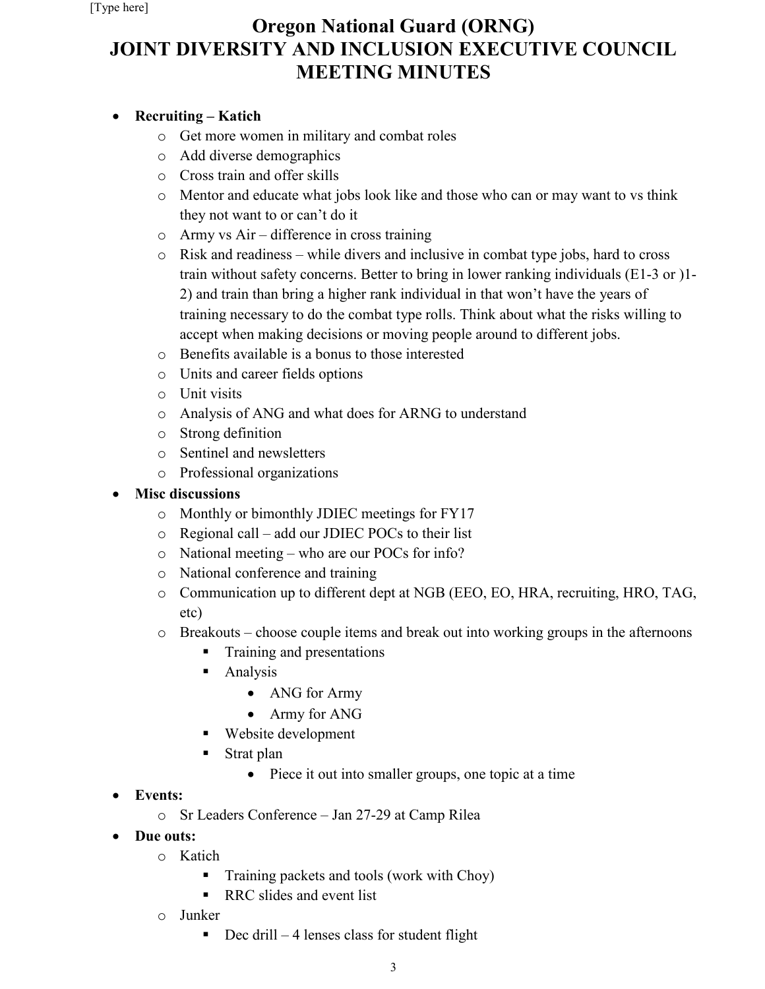# **Oregon National Guard (ORNG) JOINT DIVERSITY AND INCLUSION EXECUTIVE COUNCIL MEETING MINUTES**

## • **Recruiting – Katich**

- o Get more women in military and combat roles
- o Add diverse demographics
- o Cross train and offer skills
- o Mentor and educate what jobs look like and those who can or may want to vs think they not want to or can't do it
- o Army vs Air difference in cross training
- o Risk and readiness while divers and inclusive in combat type jobs, hard to cross train without safety concerns. Better to bring in lower ranking individuals (E1-3 or )1- 2) and train than bring a higher rank individual in that won't have the years of training necessary to do the combat type rolls. Think about what the risks willing to accept when making decisions or moving people around to different jobs.
- o Benefits available is a bonus to those interested
- o Units and career fields options
- o Unit visits
- o Analysis of ANG and what does for ARNG to understand
- o Strong definition
- o Sentinel and newsletters
- o Professional organizations

### • **Misc discussions**

- o Monthly or bimonthly JDIEC meetings for FY17
- o Regional call add our JDIEC POCs to their list
- o National meeting who are our POCs for info?
- o National conference and training
- o Communication up to different dept at NGB (EEO, EO, HRA, recruiting, HRO, TAG, etc)
- o Breakouts choose couple items and break out into working groups in the afternoons
	- Training and presentations
	- **Analysis** 
		- ANG for Army
		- Army for ANG
	- Website development
	- Strat plan
		- Piece it out into smaller groups, one topic at a time
- **Events:**
	- o Sr Leaders Conference Jan 27-29 at Camp Rilea
- **Due outs:**
	- o Katich
		- **Training packets and tools (work with Choy)**
		- RRC slides and event list
	- o Junker
		- $\blacksquare$  Dec drill 4 lenses class for student flight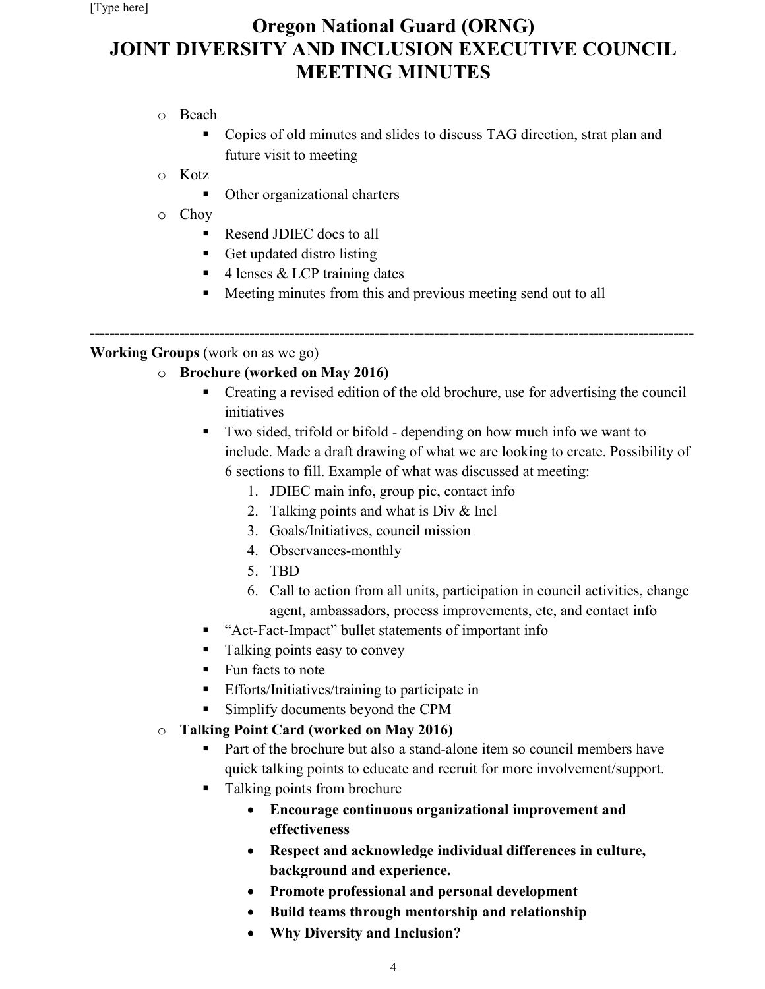# **Oregon National Guard (ORNG) JOINT DIVERSITY AND INCLUSION EXECUTIVE COUNCIL MEETING MINUTES**

- o Beach
	- Copies of old minutes and slides to discuss TAG direction, strat plan and future visit to meeting
- o Kotz
	- Other organizational charters
- o Choy
	- Resend JDIEC docs to all
	- Get updated distro listing
	- 4 lenses & LCP training dates
	- Meeting minutes from this and previous meeting send out to all

**------------------------------------------------------------------------------------------------------------------------- Working Groups** (work on as we go)

## o **Brochure (worked on May 2016)**

- Creating a revised edition of the old brochure, use for advertising the council initiatives
- Two sided, trifold or bifold depending on how much info we want to include. Made a draft drawing of what we are looking to create. Possibility of 6 sections to fill. Example of what was discussed at meeting:
	- 1. JDIEC main info, group pic, contact info
	- 2. Talking points and what is Div & Incl
	- 3. Goals/Initiatives, council mission
	- 4. Observances-monthly
	- 5. TBD
	- 6. Call to action from all units, participation in council activities, change agent, ambassadors, process improvements, etc, and contact info
- "Act-Fact-Impact" bullet statements of important info
- Talking points easy to convey
- Fun facts to note
- **Efforts/Initiatives/training to participate in**
- Simplify documents beyond the CPM
- o **Talking Point Card (worked on May 2016)**
	- Part of the brochure but also a stand-alone item so council members have quick talking points to educate and recruit for more involvement/support.
	- Talking points from brochure
		- **Encourage continuous organizational improvement and effectiveness**
		- **Respect and acknowledge individual differences in culture, background and experience.**
		- **Promote professional and personal development**
		- **Build teams through mentorship and relationship**
		- **Why Diversity and Inclusion?**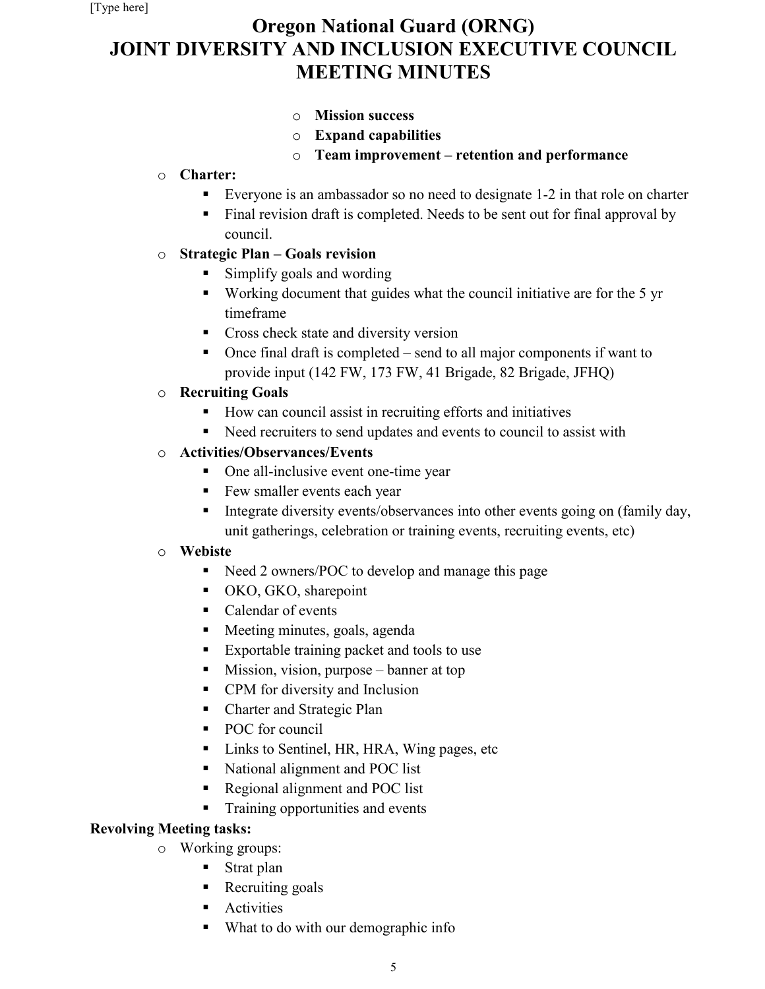# **Oregon National Guard (ORNG) JOINT DIVERSITY AND INCLUSION EXECUTIVE COUNCIL MEETING MINUTES**

- o **Mission success**
- o **Expand capabilities**
- o **Team improvement – retention and performance**

## o **Charter:**

- Everyone is an ambassador so no need to designate 1-2 in that role on charter
- Final revision draft is completed. Needs to be sent out for final approval by council.

## o **Strategic Plan – Goals revision**

- Simplify goals and wording
- Working document that guides what the council initiative are for the 5 yr timeframe
- **Cross check state and diversity version**
- Once final draft is completed send to all major components if want to provide input (142 FW, 173 FW, 41 Brigade, 82 Brigade, JFHQ)

## o **Recruiting Goals**

- How can council assist in recruiting efforts and initiatives
- Reed recruiters to send updates and events to council to assist with

## o **Activities/Observances/Events**

- One all-inclusive event one-time year
- Few smaller events each year
- Integrate diversity events/observances into other events going on (family day, unit gatherings, celebration or training events, recruiting events, etc)

## o **Webiste**

- Need 2 owners/POC to develop and manage this page
- OKO, GKO, sharepoint
- Calendar of events
- **Meeting minutes, goals, agenda**
- **Exportable training packet and tools to use**
- Mission, vision, purpose banner at top
- CPM for diversity and Inclusion
- Charter and Strategic Plan
- POC for council
- Links to Sentinel, HR, HRA, Wing pages, etc
- National alignment and POC list
- Regional alignment and POC list
- Training opportunities and events

## **Revolving Meeting tasks:**

- o Working groups:
	- **Strat plan**
	- Recruiting goals
	- **Activities**
	- What to do with our demographic info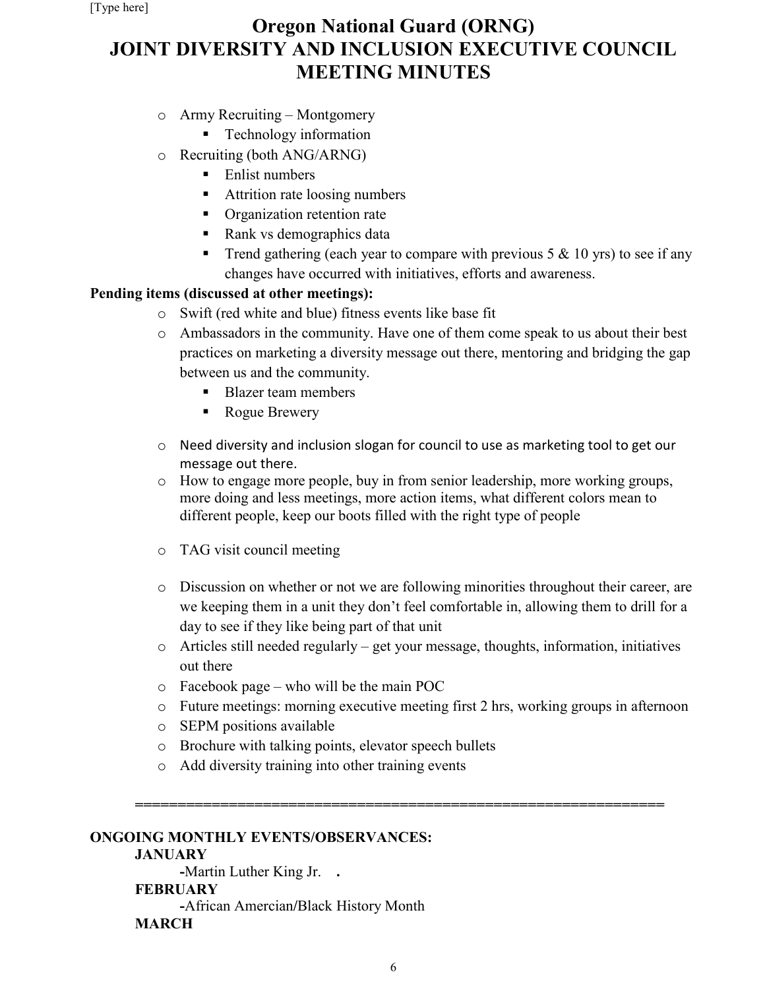# **Oregon National Guard (ORNG) JOINT DIVERSITY AND INCLUSION EXECUTIVE COUNCIL MEETING MINUTES**

- o Army Recruiting Montgomery
	- **Technology information**
- o Recruiting (both ANG/ARNG)
	- **Enlist numbers**
	- Attrition rate loosing numbers
	- **•** Organization retention rate
	- Rank vs demographics data
	- Trend gathering (each year to compare with previous  $5 \& 10 \text{ yrs}$ ) to see if any changes have occurred with initiatives, efforts and awareness.

### **Pending items (discussed at other meetings):**

- o Swift (red white and blue) fitness events like base fit
- o Ambassadors in the community. Have one of them come speak to us about their best practices on marketing a diversity message out there, mentoring and bridging the gap between us and the community.
	- Blazer team members
	- Rogue Brewery
- $\circ$  Need diversity and inclusion slogan for council to use as marketing tool to get our message out there.
- o How to engage more people, buy in from senior leadership, more working groups, more doing and less meetings, more action items, what different colors mean to different people, keep our boots filled with the right type of people
- o TAG visit council meeting
- o Discussion on whether or not we are following minorities throughout their career, are we keeping them in a unit they don't feel comfortable in, allowing them to drill for a day to see if they like being part of that unit
- o Articles still needed regularly get your message, thoughts, information, initiatives out there
- o Facebook page who will be the main POC
- o Future meetings: morning executive meeting first 2 hrs, working groups in afternoon
- o SEPM positions available
- o Brochure with talking points, elevator speech bullets
- o Add diversity training into other training events

### **ONGOING MONTHLY EVENTS/OBSERVANCES:**

### **JANUARY**

**-**Martin Luther King Jr. **. FEBRUARY -**African Amercian**/**Black History Month **MARCH**

**==============================================================**